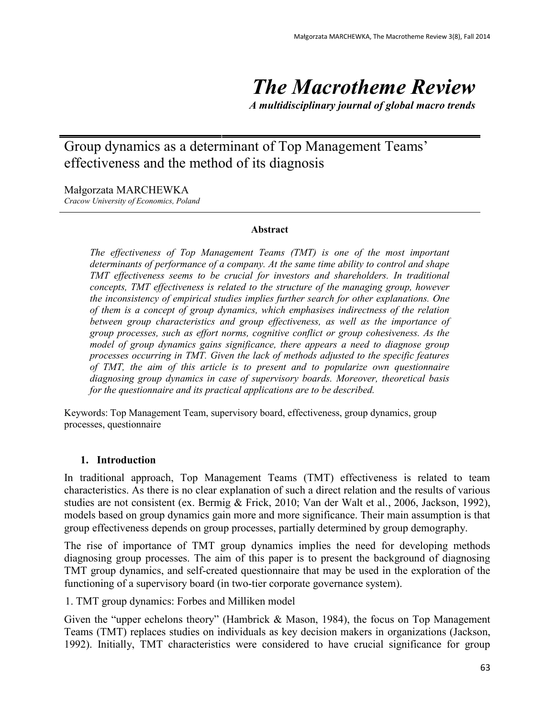# *The Macrotheme Review*

*A multidisciplinary journal of global macro trends*

# Group dynamics as a determinant of Top Management Teams' effectiveness and the method of its diagnosis

Małgorzata MARCHEWKA

*Cracow University of Economics, Poland*

#### **Abstract**

*The effectiveness of Top Management Teams (TMT) is one of the most important determinants of performance of a company. At the same time ability to control and shape TMT effectiveness seems to be crucial for investors and shareholders. In traditional concepts, TMT effectiveness is related to the structure of the managing group, however the inconsistency of empirical studies implies further search for other explanations. One of them is a concept of group dynamics, which emphasises indirectness of the relation between group characteristics and group effectiveness, as well as the importance of group processes, such as effort norms, cognitive conflict or group cohesiveness. As the model of group dynamics gains significance, there appears a need to diagnose group processes occurring in TMT. Given the lack of methods adjusted to the specific features of TMT, the aim of this article is to present and to popularize own questionnaire diagnosing group dynamics in case of supervisory boards. Moreover, theoretical basis for the questionnaire and its practical applications are to be described.*

Keywords: Top Management Team, supervisory board, effectiveness, group dynamics, group processes, questionnaire

#### **1. Introduction**

In traditional approach, Top Management Teams (TMT) effectiveness is related to team characteristics. As there is no clear explanation of such a direct relation and the results of various studies are not consistent (ex. Bermig & Frick, 2010; Van der Walt et al., 2006, Jackson, 1992), models based on group dynamics gain more and more significance. Their main assumption is that group effectiveness depends on group processes, partially determined by group demography.

The rise of importance of TMT group dynamics implies the need for developing methods diagnosing group processes. The aim of this paper is to present the background of diagnosing TMT group dynamics, and self-created questionnaire that may be used in the exploration of the functioning of a supervisory board (in two-tier corporate governance system).

1. TMT group dynamics: Forbes and Milliken model

Given the "upper echelons theory" (Hambrick  $\&$  Mason, 1984), the focus on Top Management Teams (TMT) replaces studies on individuals as key decision makers in organizations (Jackson, 1992). Initially, TMT characteristics were considered to have crucial significance for group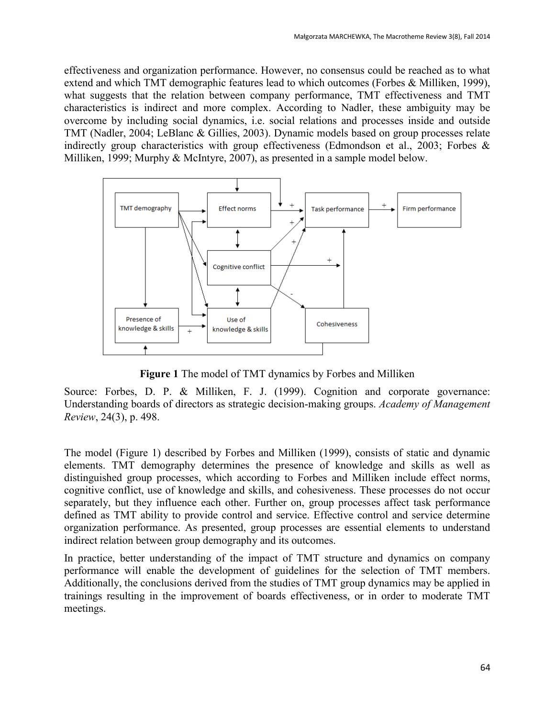effectiveness and organization performance. However, no consensus could be reached as to what extend and which TMT demographic features lead to which outcomes (Forbes & Milliken, 1999), what suggests that the relation between company performance, TMT effectiveness and TMT characteristics is indirect and more complex. According to Nadler, these ambiguity may be overcome by including social dynamics, i.e. social relations and processes inside and outside TMT (Nadler, 2004; LeBlanc & Gillies, 2003). Dynamic models based on group processes relate indirectly group characteristics with group effectiveness (Edmondson et al., 2003; Forbes & Milliken, 1999; Murphy & McIntyre, 2007), as presented in a sample model below.



**Figure 1** The model of TMT dynamics by Forbes and Milliken

Source: Forbes, D. P. & Milliken, F. J. (1999). Cognition and corporate governance: Understanding boards of directors as strategic decision-making groups. *Academy of Management Review*, 24(3), p. 498.

The model (Figure 1) described by Forbes and Milliken (1999), consists of static and dynamic elements. TMT demography determines the presence of knowledge and skills as well as distinguished group processes, which according to Forbes and Milliken include effect norms, cognitive conflict, use of knowledge and skills, and cohesiveness. These processes do not occur separately, but they influence each other. Further on, group processes affect task performance defined as TMT ability to provide control and service. Effective control and service determine organization performance. As presented, group processes are essential elements to understand indirect relation between group demography and its outcomes.

In practice, better understanding of the impact of TMT structure and dynamics on company performance will enable the development of guidelines for the selection of TMT members. Additionally, the conclusions derived from the studies of TMT group dynamics may be applied in trainings resulting in the improvement of boards effectiveness, or in order to moderate TMT meetings.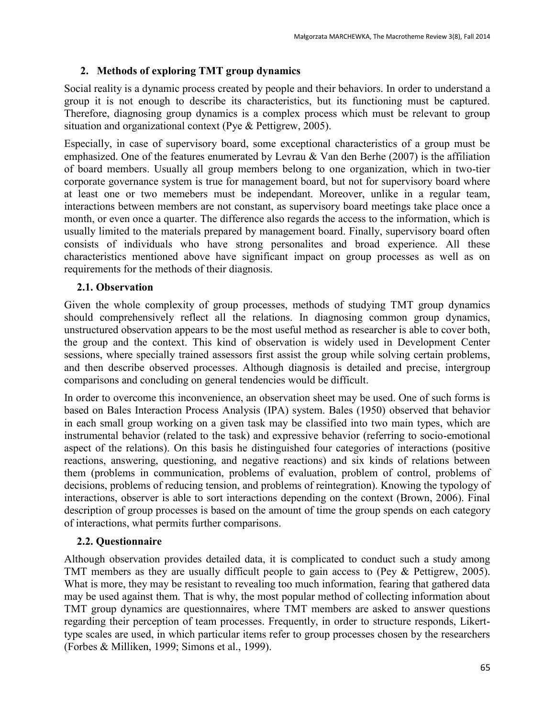# **2. Methods of exploring TMT group dynamics**

Social reality is a dynamic process created by people and their behaviors. In order to understand a group it is not enough to describe its characteristics, but its functioning must be captured. Therefore, diagnosing group dynamics is a complex process which must be relevant to group situation and organizational context (Pye & Pettigrew, 2005).

Especially, in case of supervisory board, some exceptional characteristics of a group must be emphasized. One of the features enumerated by Levrau  $&$  Van den Berhe (2007) is the affiliation of board members. Usually all group members belong to one organization, which in two-tier corporate governance system is true for management board, but not for supervisory board where at least one or two memebers must be independant. Moreover, unlike in a regular team, interactions between members are not constant, as supervisory board meetings take place once a month, or even once a quarter. The difference also regards the access to the information, which is usually limited to the materials prepared by management board. Finally, supervisory board often consists of individuals who have strong personalites and broad experience. All these characteristics mentioned above have significant impact on group processes as well as on requirements for the methods of their diagnosis.

# **2.1. Observation**

Given the whole complexity of group processes, methods of studying TMT group dynamics should comprehensively reflect all the relations. In diagnosing common group dynamics, unstructured observation appears to be the most useful method as researcher is able to cover both, the group and the context. This kind of observation is widely used in Development Center sessions, where specially trained assessors first assist the group while solving certain problems, and then describe observed processes. Although diagnosis is detailed and precise, intergroup comparisons and concluding on general tendencies would be difficult.

In order to overcome this inconvenience, an observation sheet may be used. One of such forms is based on Bales Interaction Process Analysis (IPA) system. Bales (1950) observed that behavior in each small group working on a given task may be classified into two main types, which are instrumental behavior (related to the task) and expressive behavior (referring to socio-emotional aspect of the relations). On this basis he distinguished four categories of interactions (positive reactions, answering, questioning, and negative reactions) and six kinds of relations between them (problems in communication, problems of evaluation, problem of control, problems of decisions, problems of reducing tension, and problems of reintegration). Knowing the typology of interactions, observer is able to sort interactions depending on the context (Brown, 2006). Final description of group processes is based on the amount of time the group spends on each category of interactions, what permits further comparisons.

# **2.2. Questionnaire**

Although observation provides detailed data, it is complicated to conduct such a study among TMT members as they are usually difficult people to gain access to (Pey & Pettigrew, 2005). What is more, they may be resistant to revealing too much information, fearing that gathered data may be used against them. That is why, the most popular method of collecting information about TMT group dynamics are questionnaires, where TMT members are asked to answer questions regarding their perception of team processes. Frequently, in order to structure responds, Likerttype scales are used, in which particular items refer to group processes chosen by the researchers (Forbes & Milliken, 1999; Simons et al., 1999).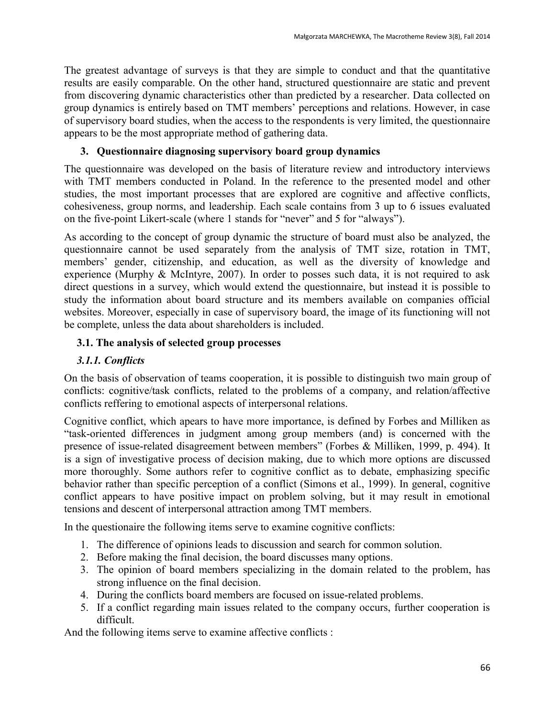The greatest advantage of surveys is that they are simple to conduct and that the quantitative results are easily comparable. On the other hand, structured questionnaire are static and prevent from discovering dynamic characteristics other than predicted by a researcher. Data collected on group dynamics is entirely based on TMT members' perceptions and relations. However, in case of supervisory board studies, when the access to the respondents is very limited, the questionnaire appears to be the most appropriate method of gathering data.

### **3. Questionnaire diagnosing supervisory board group dynamics**

The questionnaire was developed on the basis of literature review and introductory interviews with TMT members conducted in Poland. In the reference to the presented model and other studies, the most important processes that are explored are cognitive and affective conflicts, cohesiveness, group norms, and leadership. Each scale contains from 3 up to 6 issues evaluated on the five-point Likert-scale (where 1 stands for "never" and 5 for "always").

As according to the concept of group dynamic the structure of board must also be analyzed, the questionnaire cannot be used separately from the analysis of TMT size, rotation in TMT, members' gender, citizenship, and education, as well as the diversity of knowledge and experience (Murphy & McIntyre, 2007). In order to posses such data, it is not required to ask direct questions in a survey, which would extend the questionnaire, but instead it is possible to study the information about board structure and its members available on companies official websites. Moreover, especially in case of supervisory board, the image of its functioning will not be complete, unless the data about shareholders is included.

#### **3.1. The analysis of selected group processes**

#### *3.1.1. Conflicts*

On the basis of observation of teams cooperation, it is possible to distinguish two main group of conflicts: cognitive/task conflicts, related to the problems of a company, and relation/affective conflicts reffering to emotional aspects of interpersonal relations.

Cognitive conflict, which apears to have more importance, is defined by Forbes and Milliken as "task-oriented differences in judgment among group members (and) is concerned with the presence of issue-related disagreement between members" (Forbes & Milliken, 1999, p. 494). It is a sign of investigative process of decision making, due to which more options are discussed more thoroughly. Some authors refer to cognitive conflict as to debate, emphasizing specific behavior rather than specific perception of a conflict (Simons et al., 1999). In general, cognitive conflict appears to have positive impact on problem solving, but it may result in emotional tensions and descent of interpersonal attraction among TMT members.

In the questionaire the following items serve to examine cognitive conflicts:

- 1. The difference of opinions leads to discussion and search for common solution.
- 2. Before making the final decision, the board discusses many options.
- 3. The opinion of board members specializing in the domain related to the problem, has strong influence on the final decision.
- 4. During the conflicts board members are focused on issue-related problems.
- 5. If a conflict regarding main issues related to the company occurs, further cooperation is difficult.

And the following items serve to examine affective conflicts :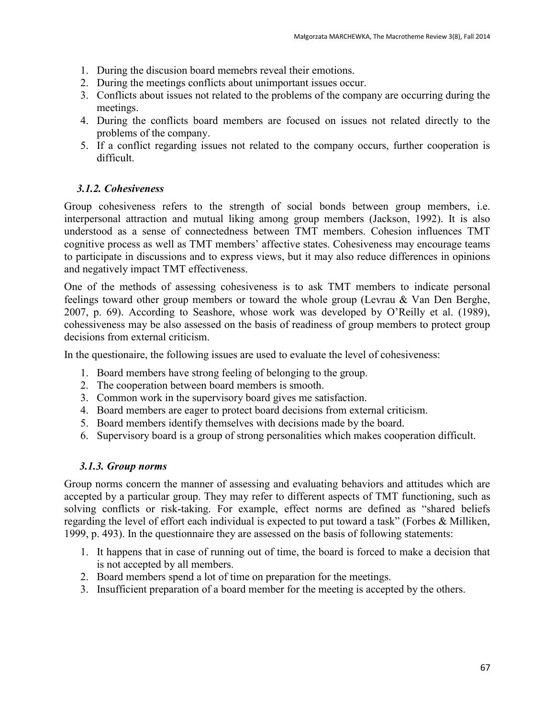- 1. During the discusion board memebrs reveal their emotions.
- 2. During the meetings conflicts about unimportant issues occur.
- 3. Conflicts about issues not related to the problems of the company are occurring during the meetings.
- 4. During the conflicts board members are focused on issues not related directly to the problems of the company.
- 5. If a conflict regarding issues not related to the company occurs, further cooperation is difficult.

#### *3.1.2. Cohesiveness*

Group cohesiveness refers to the strength of social bonds between group members, i.e. interpersonal attraction and mutual liking among group members (Jackson, 1992). It is also understood as a sense of connectedness between TMT members. Cohesion influences TMT cognitive process as well as TMT members' affective states. Cohesiveness may encourage teams to participate in discussions and to express views, but it may also reduce differences in opinions and negatively impact TMT effectiveness.

One of the methods of assessing cohesiveness is to ask TMT members to indicate personal feelings toward other group members or toward the whole group (Levrau & Van Den Berghe, 2007, p. 69). According to Seashore, whose work was developed by O'Reilly et al. (1989), cohessiveness may be also assessed on the basis of readiness of group members to protect group decisions from external criticism.

In the questionaire, the following issues are used to evaluate the level of cohesiveness:

- 1. Board members have strong feeling of belonging to the group.
- 2. The cooperation between board members is smooth.
- 3. Common work in the supervisory board gives me satisfaction.
- 4. Board members are eager to protect board decisions from external criticism.
- 5. Board members identify themselves with decisions made by the board.
- 6. Supervisory board is a group of strong personalities which makes cooperation difficult.

#### *3.1.3. Group norms*

Group norms concern the manner of assessing and evaluating behaviors and attitudes which are accepted by a particular group. They may refer to different aspects of TMT functioning, such as solving conflicts or risk-taking. For example, effect norms are defined as "shared beliefs regarding the level of effort each individual is expected to put toward a task" (Forbes & Milliken, 1999, p. 493). In the questionnaire they are assessed on the basis of following statements:

- 1. It happens that in case of running out of time, the board is forced to make a decision that is not accepted by all members.
- 2. Board members spend a lot of time on preparation for the meetings.
- 3. Insufficient preparation of a board member for the meeting is accepted by the others.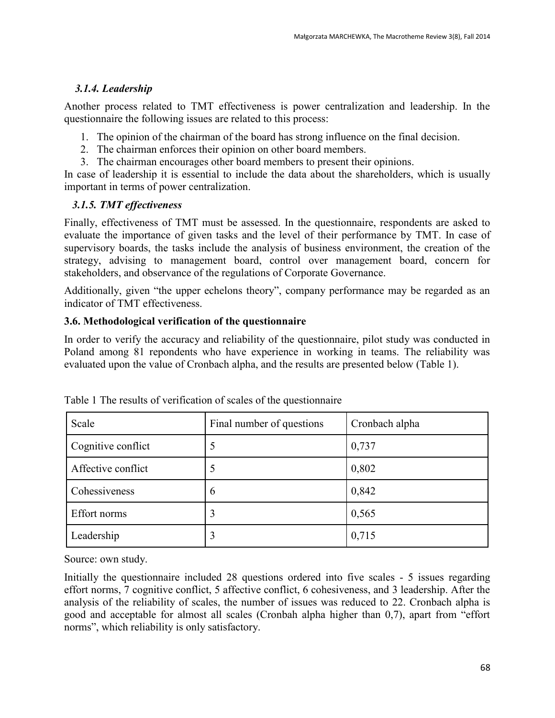# *3.1.4. Leadership*

Another process related to TMT effectiveness is power centralization and leadership. In the questionnaire the following issues are related to this process:

- 1. The opinion of the chairman of the board has strong influence on the final decision.
- 2. The chairman enforces their opinion on other board members.
- 3. The chairman encourages other board members to present their opinions.

In case of leadership it is essential to include the data about the shareholders, which is usually important in terms of power centralization.

# *3.1.5. TMT effectiveness*

Finally, effectiveness of TMT must be assessed. In the questionnaire, respondents are asked to evaluate the importance of given tasks and the level of their performance by TMT. In case of supervisory boards, the tasks include the analysis of business environment, the creation of the strategy, advising to management board, control over management board, concern for stakeholders, and observance of the regulations of Corporate Governance.

Additionally, given "the upper echelons theory", company performance may be regarded as an indicator of TMT effectiveness.

# **3.6. Methodological verification of the questionnaire**

In order to verify the accuracy and reliability of the questionnaire, pilot study was conducted in Poland among 81 repondents who have experience in working in teams. The reliability was evaluated upon the value of Cronbach alpha, and the results are presented below (Table 1).

| Scale              | Final number of questions | Cronbach alpha |
|--------------------|---------------------------|----------------|
| Cognitive conflict | ς                         | 0,737          |
| Affective conflict | $\mathcal{D}$             | 0,802          |
| Cohessiveness      | 6                         | 0,842          |
| Effort norms       | 3                         | 0,565          |
| Leadership         | 3                         | 0,715          |

Table 1 The results of verification of scales of the questionnaire

Source: own study.

Initially the questionnaire included 28 questions ordered into five scales - 5 issues regarding effort norms, 7 cognitive conflict, 5 affective conflict, 6 cohesiveness, and 3 leadership. After the analysis of the reliability of scales, the number of issues was reduced to 22. Cronbach alpha is good and acceptable for almost all scales (Cronbah alpha higher than 0,7), apart from "effort norms", which reliability is only satisfactory.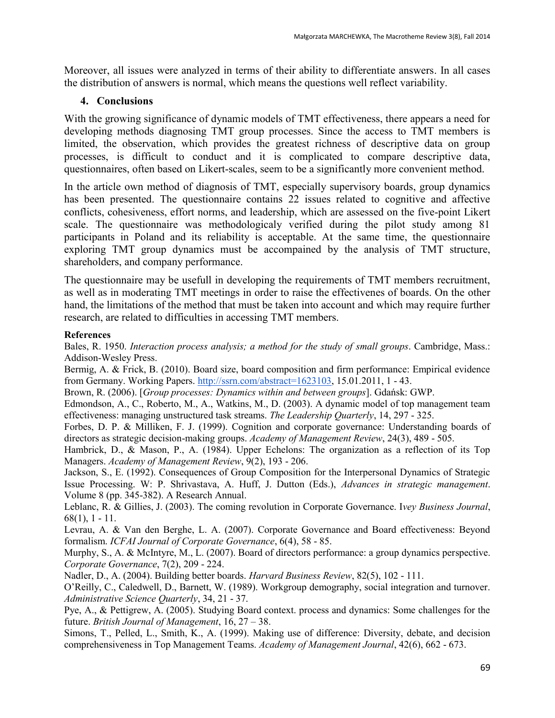Moreover, all issues were analyzed in terms of their ability to differentiate answers. In all cases the distribution of answers is normal, which means the questions well reflect variability.

#### **4. Conclusions**

With the growing significance of dynamic models of TMT effectiveness, there appears a need for developing methods diagnosing TMT group processes. Since the access to TMT members is limited, the observation, which provides the greatest richness of descriptive data on group processes, is difficult to conduct and it is complicated to compare descriptive data, questionnaires, often based on Likert-scales, seem to be a significantly more convenient method.

In the article own method of diagnosis of TMT, especially supervisory boards, group dynamics has been presented. The questionnaire contains 22 issues related to cognitive and affective conflicts, cohesiveness, effort norms, and leadership, which are assessed on the five-point Likert scale. The questionnaire was methodologicaly verified during the pilot study among 81 participants in Poland and its reliability is acceptable. At the same time, the questionnaire exploring TMT group dynamics must be accompained by the analysis of TMT structure, shareholders, and company performance.

The questionnaire may be usefull in developing the requirements of TMT members recruitment, as well as in moderating TMT meetings in order to raise the effectivenes of boards. On the other hand, the limitations of the method that must be taken into account and which may require further research, are related to difficulties in accessing TMT members.

#### **References**

Bales, R. 1950. *Interaction process analysis; a method for the study of small groups*. Cambridge, Mass.: Addison-Wesley Press.

Bermig, A. & Frick, B. (2010). Board size, board composition and firm performance: Empirical evidence from Germany. Working Papers. [http://ssrn.com/abstract=1623103,](http://ssrn.com/abstract=1623103) 15.01.2011, 1 - 43.

Brown, R. (2006). [*Group processes: Dynamics within and between groups*]. Gdańsk: GWP.

Edmondson, A., C., Roberto, M., A., Watkins, M., D. (2003). A dynamic model of top management team effectiveness: managing unstructured task streams. *The Leadership Quarterly*, 14, 297 - 325.

Forbes, D. P. & Milliken, F. J. (1999). Cognition and corporate governance: Understanding boards of directors as strategic decision-making groups. *Academy of Management Review*, 24(3), 489 - 505.

Hambrick, D., & Mason, P., A. (1984). Upper Echelons: The organization as a reflection of its Top Managers. *Academy of Management Review*, 9(2), 193 - 206.

Jackson, S., E. (1992). Consequences of Group Composition for the Interpersonal Dynamics of Strategic Issue Processing. W: P. Shrivastava, A. Huff, J. Dutton (Eds.), *Advances in strategic management*. Volume 8 (pp. 345-382). A Research Annual.

Leblanc, R. & Gillies, J. (2003). The coming revolution in Corporate Governance. I*vey Business Journal*, 68(1), 1 - 11.

Levrau, A. & Van den Berghe, L. A. (2007). Corporate Governance and Board effectiveness: Beyond formalism. *ICFAI Journal of Corporate Governance*, 6(4), 58 - 85.

Murphy, S., A. & McIntyre, M., L. (2007). Board of directors performance: a group dynamics perspective. *Corporate Governance*, 7(2), 209 - 224.

Nadler, D., A. (2004). Building better boards. *Harvard Business Review*, 82(5), 102 - 111.

O'Reilly, C., Caledwell, D., Barnett, W. (1989). Workgroup demography, social integration and turnover. *Administrative Science Quarterly*, 34, 21 - 37.

Pye, A., & Pettigrew, A. (2005). Studying Board context. process and dynamics: Some challenges for the future. *British Journal of Management*, 16, 27 – 38.

Simons, T., Pelled, L., Smith, K., A. (1999). Making use of difference: Diversity, debate, and decision comprehensiveness in Top Management Teams. *Academy of Management Journal*, 42(6), 662 - 673.